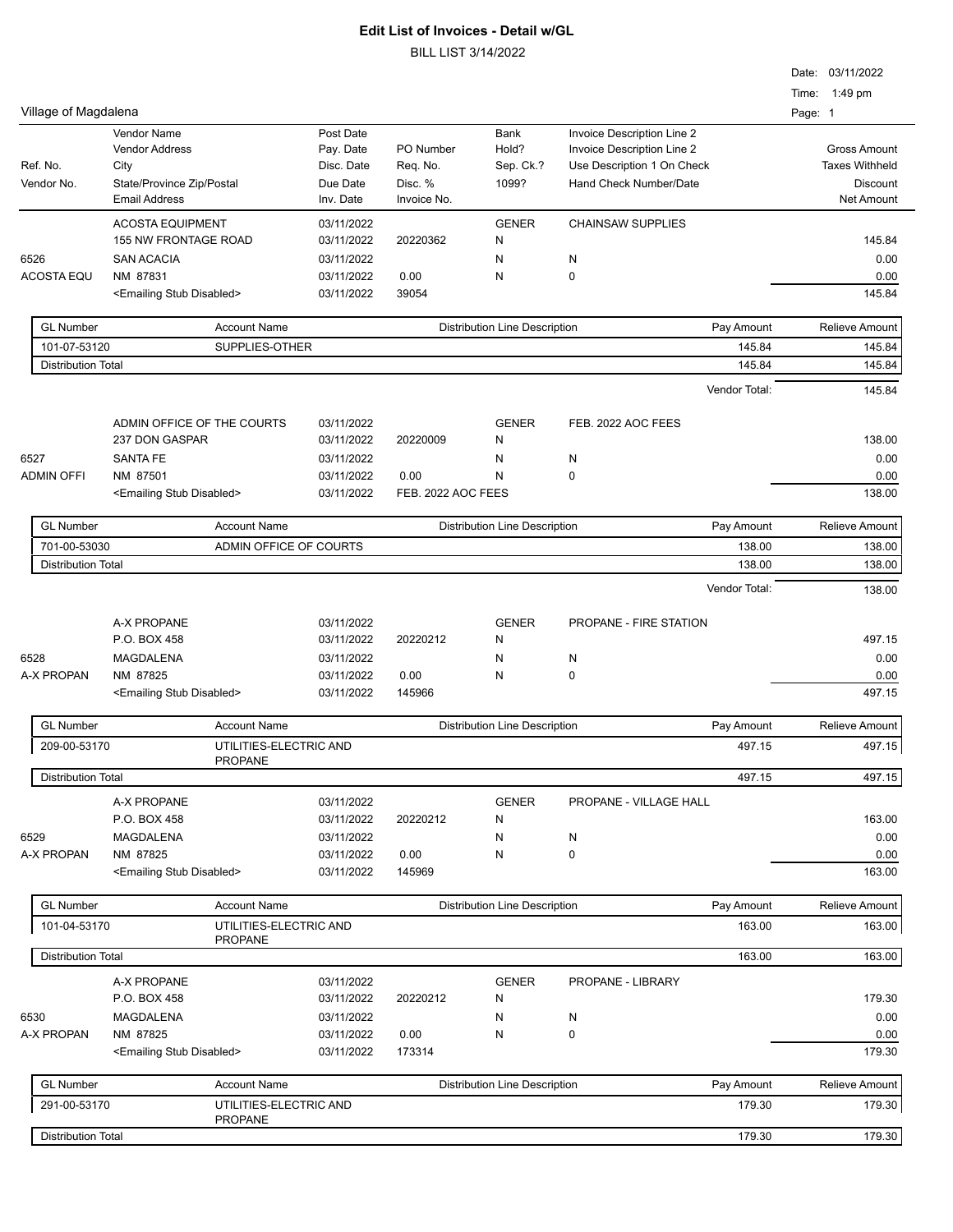|                           |                                                 |                          |                    |                                      |                                                          | Date: 03/11/2022         |
|---------------------------|-------------------------------------------------|--------------------------|--------------------|--------------------------------------|----------------------------------------------------------|--------------------------|
| Village of Magdalena      |                                                 |                          |                    |                                      |                                                          | Time: 1:49 pm<br>Page: 1 |
|                           | Vendor Name<br><b>Vendor Address</b>            | Post Date<br>Pay. Date   | PO Number          | Bank<br>Hold?                        | Invoice Description Line 2<br>Invoice Description Line 2 | <b>Gross Amount</b>      |
| Ref. No.                  | City                                            | Disc. Date               | Req. No.           | Sep. Ck.?                            | Use Description 1 On Check                               | <b>Taxes Withheld</b>    |
| Vendor No.                | State/Province Zip/Postal                       | Due Date                 | Disc. %            | 1099?                                | Hand Check Number/Date                                   | Discount                 |
|                           | <b>Email Address</b>                            | Inv. Date                | Invoice No.        |                                      |                                                          | Net Amount               |
|                           | <b>ACOSTA EQUIPMENT</b><br>155 NW FRONTAGE ROAD | 03/11/2022<br>03/11/2022 | 20220362           | <b>GENER</b><br>N                    | <b>CHAINSAW SUPPLIES</b>                                 | 145.84                   |
| 6526                      | <b>SAN ACACIA</b>                               | 03/11/2022               |                    | N                                    | N                                                        | 0.00                     |
| <b>ACOSTA EQU</b>         | NM 87831                                        | 03/11/2022               | 0.00               | N                                    | 0                                                        | 0.00                     |
|                           | <emailing disabled="" stub=""></emailing>       | 03/11/2022               | 39054              |                                      |                                                          | 145.84                   |
| <b>GL Number</b>          | <b>Account Name</b>                             |                          |                    | <b>Distribution Line Description</b> | Pay Amount                                               | <b>Relieve Amount</b>    |
| 101-07-53120              | SUPPLIES-OTHER                                  |                          |                    |                                      | 145.84                                                   | 145.84                   |
| <b>Distribution Total</b> |                                                 |                          |                    |                                      | 145.84                                                   | 145.84                   |
|                           |                                                 |                          |                    |                                      | Vendor Total:                                            | 145.84                   |
|                           | ADMIN OFFICE OF THE COURTS                      | 03/11/2022               |                    | <b>GENER</b>                         | FEB. 2022 AOC FEES                                       |                          |
|                           | 237 DON GASPAR                                  | 03/11/2022               | 20220009           | N                                    |                                                          | 138.00                   |
| 6527                      | <b>SANTA FE</b>                                 | 03/11/2022               |                    | N                                    | N                                                        | 0.00                     |
| <b>ADMIN OFFI</b>         | NM 87501                                        | 03/11/2022               | 0.00               | N                                    | 0                                                        | 0.00                     |
|                           | <emailing disabled="" stub=""></emailing>       | 03/11/2022               | FEB. 2022 AOC FEES |                                      |                                                          | 138.00                   |
| <b>GL Number</b>          | <b>Account Name</b>                             |                          |                    | <b>Distribution Line Description</b> | Pay Amount                                               | <b>Relieve Amount</b>    |
| 701-00-53030              | ADMIN OFFICE OF COURTS                          |                          |                    |                                      | 138.00                                                   | 138.00                   |
| <b>Distribution Total</b> |                                                 |                          |                    |                                      | 138.00                                                   | 138.00                   |
|                           |                                                 |                          |                    |                                      | Vendor Total:                                            | 138.00                   |
|                           | A-X PROPANE                                     | 03/11/2022               |                    | <b>GENER</b>                         | PROPANE - FIRE STATION                                   |                          |
|                           | P.O. BOX 458                                    | 03/11/2022               | 20220212           | N                                    |                                                          | 497.15                   |
| 6528                      | MAGDALENA                                       | 03/11/2022               |                    | N                                    | N                                                        | 0.00                     |
| A-X PROPAN                | NM 87825                                        | 03/11/2022               | 0.00               | N                                    | 0                                                        | 0.00                     |
|                           | <emailing disabled="" stub=""></emailing>       | 03/11/2022               | 145966             |                                      |                                                          | 497.15                   |
| <b>GL Number</b>          | <b>Account Name</b>                             |                          |                    | <b>Distribution Line Description</b> | Pay Amount                                               | <b>Relieve Amount</b>    |
| 209-00-53170              | UTILITIES-ELECTRIC AND<br>PROPANE               |                          |                    |                                      | 497.15                                                   | 497.15                   |
| <b>Distribution Total</b> |                                                 |                          |                    |                                      | 497.15                                                   | 497.15                   |
|                           | A-X PROPANE                                     | 03/11/2022               |                    | <b>GENER</b>                         | PROPANE - VILLAGE HALL                                   |                          |
|                           | P.O. BOX 458                                    | 03/11/2022               | 20220212           | N                                    |                                                          | 163.00                   |
| 6529                      | MAGDALENA                                       | 03/11/2022               |                    | N                                    | N                                                        | 0.00                     |
| A-X PROPAN                | NM 87825                                        | 03/11/2022               | 0.00               | N                                    | 0                                                        | 0.00                     |
|                           | <emailing disabled="" stub=""></emailing>       | 03/11/2022               | 145969             |                                      |                                                          | 163.00                   |
| <b>GL Number</b>          | <b>Account Name</b>                             |                          |                    | <b>Distribution Line Description</b> | Pay Amount                                               | Relieve Amount           |
| 101-04-53170              | UTILITIES-ELECTRIC AND<br><b>PROPANE</b>        |                          |                    |                                      | 163.00                                                   | 163.00                   |
| <b>Distribution Total</b> |                                                 |                          |                    |                                      | 163.00                                                   | 163.00                   |
|                           | A-X PROPANE                                     | 03/11/2022               |                    | <b>GENER</b>                         | PROPANE - LIBRARY                                        |                          |
|                           | P.O. BOX 458                                    | 03/11/2022               | 20220212           | N                                    |                                                          | 179.30                   |
| 6530                      | MAGDALENA                                       | 03/11/2022               |                    | N                                    | N                                                        | 0.00                     |
| A-X PROPAN                | NM 87825                                        | 03/11/2022               | 0.00               | N                                    | 0                                                        | 0.00                     |
|                           | <emailing disabled="" stub=""></emailing>       | 03/11/2022               | 173314             |                                      |                                                          | 179.30                   |
| <b>GL Number</b>          | <b>Account Name</b>                             |                          |                    | <b>Distribution Line Description</b> | Pay Amount                                               | <b>Relieve Amount</b>    |
| 291-00-53170              | UTILITIES-ELECTRIC AND<br>PROPANE               |                          |                    |                                      | 179.30                                                   | 179.30                   |
| <b>Distribution Total</b> |                                                 |                          |                    |                                      | 179.30                                                   | 179.30                   |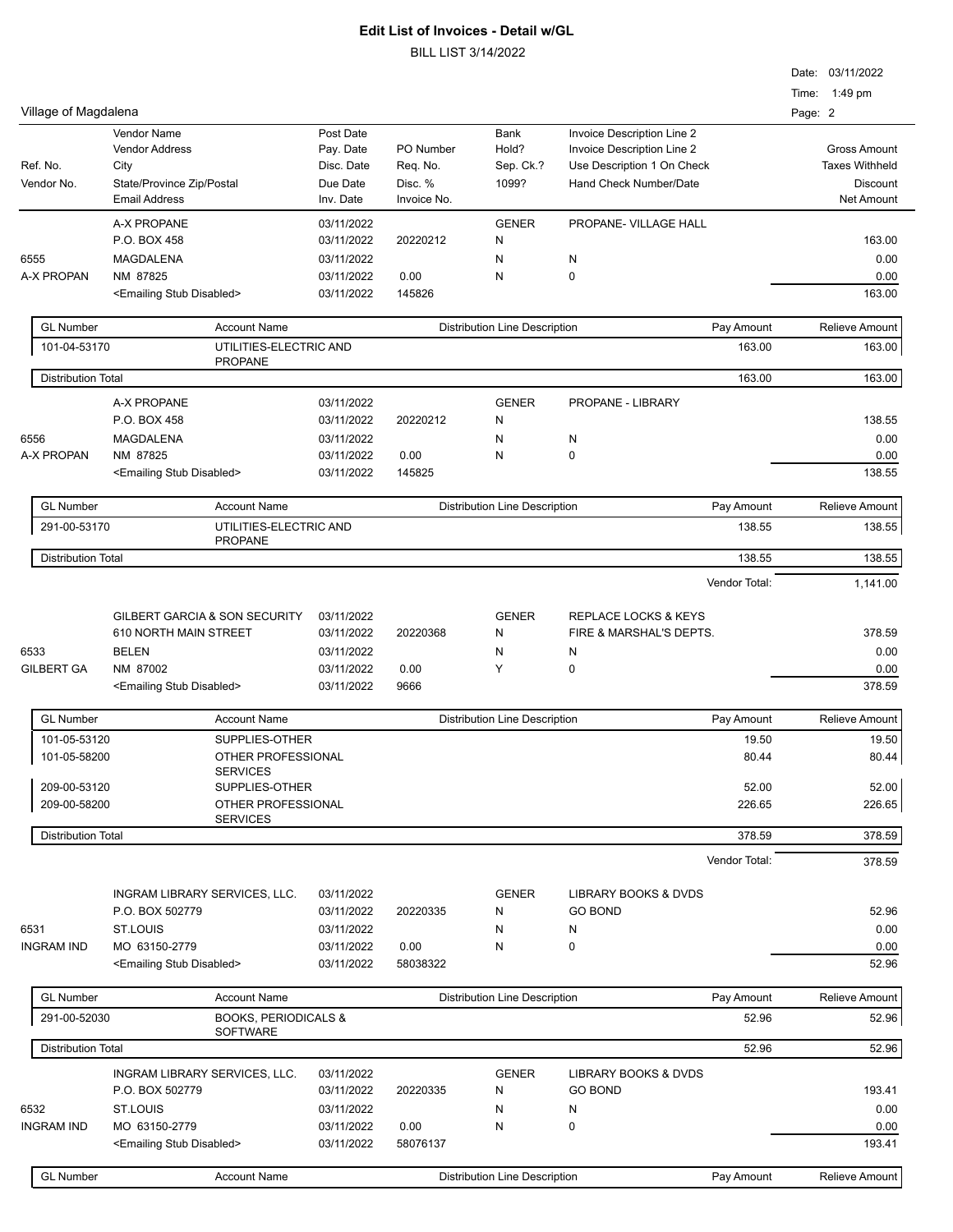|                           |                                                                                                   |                                                               |                                                 |                                      |                                                                                                                  | Date: 03/11/2022<br>Time: 1:49 pm                                                    |
|---------------------------|---------------------------------------------------------------------------------------------------|---------------------------------------------------------------|-------------------------------------------------|--------------------------------------|------------------------------------------------------------------------------------------------------------------|--------------------------------------------------------------------------------------|
| Village of Magdalena      |                                                                                                   |                                                               |                                                 |                                      |                                                                                                                  | Page: 2                                                                              |
| Ref. No.<br>Vendor No.    | Vendor Name<br><b>Vendor Address</b><br>City<br>State/Province Zip/Postal<br><b>Email Address</b> | Post Date<br>Pay. Date<br>Disc. Date<br>Due Date<br>Inv. Date | PO Number<br>Req. No.<br>Disc. %<br>Invoice No. | Bank<br>Hold?<br>Sep. Ck.?<br>1099?  | Invoice Description Line 2<br>Invoice Description Line 2<br>Use Description 1 On Check<br>Hand Check Number/Date | <b>Gross Amount</b><br><b>Taxes Withheld</b><br><b>Discount</b><br><b>Net Amount</b> |
|                           | A-X PROPANE                                                                                       | 03/11/2022                                                    |                                                 | <b>GENER</b>                         | PROPANE- VILLAGE HALL                                                                                            |                                                                                      |
|                           | P.O. BOX 458                                                                                      | 03/11/2022                                                    | 20220212                                        | N                                    |                                                                                                                  | 163.00                                                                               |
| 6555<br>A-X PROPAN        | <b>MAGDALENA</b><br>NM 87825                                                                      | 03/11/2022<br>03/11/2022                                      | 0.00                                            | N<br>N                               | N<br>0                                                                                                           | 0.00                                                                                 |
|                           | <emailing disabled="" stub=""></emailing>                                                         | 03/11/2022                                                    | 145826                                          |                                      |                                                                                                                  | 0.00<br>163.00                                                                       |
| <b>GL Number</b>          | <b>Account Name</b>                                                                               |                                                               |                                                 | <b>Distribution Line Description</b> | Pay Amount                                                                                                       | Relieve Amount                                                                       |
| 101-04-53170              | UTILITIES-ELECTRIC AND<br><b>PROPANE</b>                                                          |                                                               |                                                 |                                      | 163.00                                                                                                           | 163.00                                                                               |
| <b>Distribution Total</b> |                                                                                                   |                                                               |                                                 |                                      | 163.00                                                                                                           | 163.00                                                                               |
|                           | A-X PROPANE                                                                                       | 03/11/2022                                                    |                                                 | <b>GENER</b>                         | PROPANE - LIBRARY                                                                                                |                                                                                      |
|                           | P.O. BOX 458                                                                                      | 03/11/2022                                                    | 20220212                                        | N                                    |                                                                                                                  | 138.55                                                                               |
| 6556                      | <b>MAGDALENA</b>                                                                                  | 03/11/2022                                                    |                                                 | N                                    | N                                                                                                                | 0.00                                                                                 |
| A-X PROPAN                | NM 87825<br><emailing disabled="" stub=""></emailing>                                             | 03/11/2022<br>03/11/2022                                      | 0.00<br>145825                                  | N                                    | 0                                                                                                                | 0.00<br>138.55                                                                       |
| <b>GL Number</b>          | <b>Account Name</b>                                                                               |                                                               |                                                 | <b>Distribution Line Description</b> | Pay Amount                                                                                                       | <b>Relieve Amount</b>                                                                |
| 291-00-53170              | UTILITIES-ELECTRIC AND<br><b>PROPANE</b>                                                          |                                                               |                                                 |                                      | 138.55                                                                                                           | 138.55                                                                               |
| <b>Distribution Total</b> |                                                                                                   |                                                               |                                                 |                                      | 138.55                                                                                                           | 138.55                                                                               |
|                           |                                                                                                   |                                                               |                                                 |                                      | Vendor Total:                                                                                                    | 1,141.00                                                                             |
|                           | <b>GILBERT GARCIA &amp; SON SECURITY</b>                                                          | 03/11/2022                                                    |                                                 | <b>GENER</b>                         | REPLACE LOCKS & KEYS                                                                                             |                                                                                      |
|                           | 610 NORTH MAIN STREET                                                                             | 03/11/2022                                                    | 20220368                                        | N                                    | FIRE & MARSHAL'S DEPTS.                                                                                          | 378.59                                                                               |
| 6533                      | <b>BELEN</b>                                                                                      | 03/11/2022                                                    |                                                 | N                                    | N                                                                                                                | 0.00                                                                                 |
| <b>GILBERT GA</b>         | NM 87002                                                                                          | 03/11/2022                                                    | 0.00                                            | Y                                    | 0                                                                                                                | 0.00                                                                                 |
|                           | <emailing disabled="" stub=""></emailing>                                                         | 03/11/2022                                                    | 9666                                            |                                      |                                                                                                                  | 378.59                                                                               |
| <b>GL Number</b>          | <b>Account Name</b>                                                                               |                                                               |                                                 | <b>Distribution Line Description</b> | Pay Amount                                                                                                       | <b>Relieve Amount</b>                                                                |
| 101-05-53120              | SUPPLIES-OTHER                                                                                    |                                                               |                                                 |                                      | 19.50                                                                                                            | 19.50                                                                                |
| 101-05-58200              | OTHER PROFESSIONAL<br><b>SERVICES</b>                                                             |                                                               |                                                 |                                      | 80.44                                                                                                            | 80.44                                                                                |
| 209-00-53120              | SUPPLIES-OTHER                                                                                    |                                                               |                                                 |                                      | 52.00                                                                                                            | 52.00                                                                                |
| 209-00-58200              | OTHER PROFESSIONAL<br><b>SERVICES</b>                                                             |                                                               |                                                 |                                      | 226.65                                                                                                           | 226.65                                                                               |
| <b>Distribution Total</b> |                                                                                                   |                                                               |                                                 |                                      | 378.59                                                                                                           | 378.59                                                                               |
|                           |                                                                                                   |                                                               |                                                 |                                      | Vendor Total:                                                                                                    | 378.59                                                                               |
|                           | INGRAM LIBRARY SERVICES, LLC.                                                                     | 03/11/2022                                                    |                                                 | <b>GENER</b>                         | <b>LIBRARY BOOKS &amp; DVDS</b>                                                                                  |                                                                                      |
|                           | P.O. BOX 502779                                                                                   | 03/11/2022                                                    | 20220335                                        | N                                    | <b>GO BOND</b>                                                                                                   | 52.96                                                                                |
| 6531                      | <b>ST.LOUIS</b>                                                                                   | 03/11/2022                                                    |                                                 | N                                    | N                                                                                                                | 0.00                                                                                 |
| <b>INGRAM IND</b>         | MO 63150-2779<br><emailing disabled="" stub=""></emailing>                                        | 03/11/2022<br>03/11/2022                                      | 0.00<br>58038322                                | N                                    | 0                                                                                                                | 0.00<br>52.96                                                                        |
| <b>GL Number</b>          | <b>Account Name</b>                                                                               |                                                               |                                                 | <b>Distribution Line Description</b> | Pay Amount                                                                                                       | Relieve Amount                                                                       |
| 291-00-52030              | <b>BOOKS, PERIODICALS &amp;</b><br><b>SOFTWARE</b>                                                |                                                               |                                                 |                                      | 52.96                                                                                                            | 52.96                                                                                |
| <b>Distribution Total</b> |                                                                                                   |                                                               |                                                 |                                      | 52.96                                                                                                            | 52.96                                                                                |
|                           | INGRAM LIBRARY SERVICES, LLC.                                                                     | 03/11/2022                                                    |                                                 | <b>GENER</b>                         | <b>LIBRARY BOOKS &amp; DVDS</b>                                                                                  |                                                                                      |
|                           | P.O. BOX 502779                                                                                   | 03/11/2022                                                    | 20220335                                        | N                                    | <b>GO BOND</b>                                                                                                   | 193.41                                                                               |
| 6532                      | <b>ST.LOUIS</b>                                                                                   | 03/11/2022                                                    |                                                 | N                                    | Ν                                                                                                                | 0.00                                                                                 |
| <b>INGRAM IND</b>         | MO 63150-2779<br><emailing disabled="" stub=""></emailing>                                        | 03/11/2022<br>03/11/2022                                      | 0.00<br>58076137                                | N                                    | 0                                                                                                                | 0.00<br>193.41                                                                       |
| <b>GL Number</b>          | <b>Account Name</b>                                                                               |                                                               |                                                 | <b>Distribution Line Description</b> | Pay Amount                                                                                                       | Relieve Amount                                                                       |
|                           |                                                                                                   |                                                               |                                                 |                                      |                                                                                                                  |                                                                                      |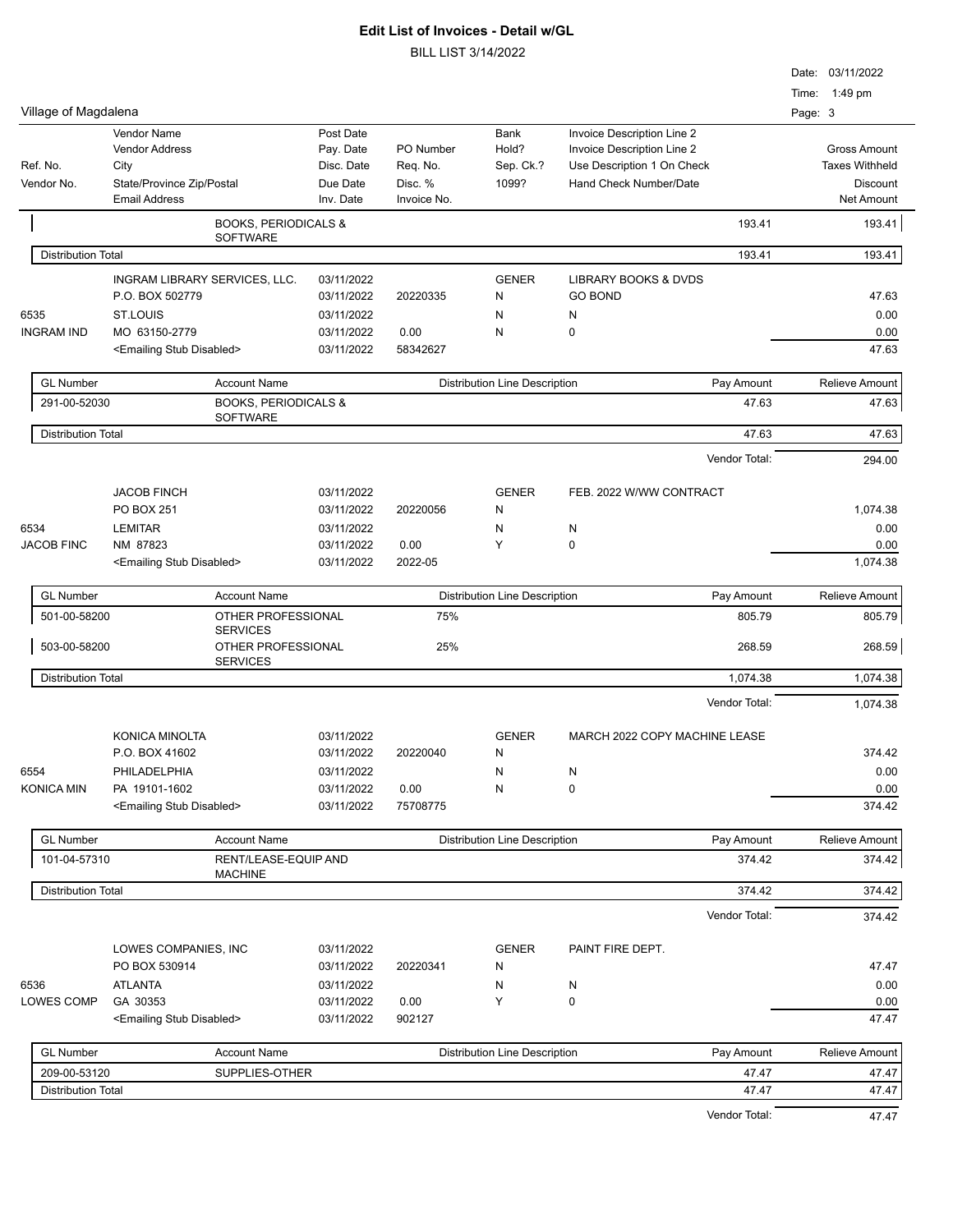|                           |                                                   |                                                    |                       |                        |                                      |                               |               |         | Date: 03/11/2022              |
|---------------------------|---------------------------------------------------|----------------------------------------------------|-----------------------|------------------------|--------------------------------------|-------------------------------|---------------|---------|-------------------------------|
|                           |                                                   |                                                    |                       |                        |                                      |                               |               |         | Time: 1:49 pm                 |
| Village of Magdalena      |                                                   |                                                    |                       |                        |                                      |                               |               | Page: 3 |                               |
|                           | Vendor Name                                       |                                                    | Post Date             |                        | Bank                                 | Invoice Description Line 2    |               |         |                               |
|                           | <b>Vendor Address</b>                             |                                                    | Pay. Date             | PO Number              | Hold?                                | Invoice Description Line 2    |               |         | <b>Gross Amount</b>           |
| Ref. No.                  | City                                              |                                                    | Disc. Date            | Req. No.               | Sep. Ck.?                            | Use Description 1 On Check    |               |         | <b>Taxes Withheld</b>         |
| Vendor No.                | State/Province Zip/Postal<br><b>Email Address</b> |                                                    | Due Date<br>Inv. Date | Disc. %<br>Invoice No. | 1099?                                | Hand Check Number/Date        |               |         | <b>Discount</b><br>Net Amount |
|                           |                                                   |                                                    |                       |                        |                                      |                               |               |         |                               |
|                           |                                                   | <b>BOOKS, PERIODICALS &amp;</b><br><b>SOFTWARE</b> |                       |                        |                                      |                               | 193.41        |         | 193.41                        |
| <b>Distribution Total</b> |                                                   |                                                    |                       |                        |                                      |                               | 193.41        |         | 193.41                        |
|                           | INGRAM LIBRARY SERVICES, LLC.                     |                                                    | 03/11/2022            |                        | <b>GENER</b>                         | LIBRARY BOOKS & DVDS          |               |         |                               |
|                           | P.O. BOX 502779                                   |                                                    | 03/11/2022            | 20220335               | N                                    | <b>GO BOND</b>                |               |         | 47.63                         |
| 6535                      | ST.LOUIS                                          |                                                    | 03/11/2022            |                        | N                                    | N                             |               |         | 0.00                          |
| <b>INGRAM IND</b>         | MO 63150-2779                                     |                                                    | 03/11/2022            | 0.00                   | N                                    | 0                             |               |         | 0.00                          |
|                           | <emailing disabled="" stub=""></emailing>         |                                                    | 03/11/2022            | 58342627               |                                      |                               |               |         | 47.63                         |
|                           |                                                   |                                                    |                       |                        |                                      |                               |               |         |                               |
| <b>GL Number</b>          |                                                   | <b>Account Name</b>                                |                       |                        | <b>Distribution Line Description</b> |                               | Pay Amount    |         | Relieve Amount                |
| 291-00-52030              |                                                   | <b>BOOKS, PERIODICALS &amp;</b><br><b>SOFTWARE</b> |                       |                        |                                      |                               | 47.63         |         | 47.63                         |
| <b>Distribution Total</b> |                                                   |                                                    |                       |                        |                                      |                               | 47.63         |         | 47.63                         |
|                           |                                                   |                                                    |                       |                        |                                      |                               | Vendor Total: |         | 294.00                        |
|                           |                                                   |                                                    |                       |                        |                                      |                               |               |         |                               |
|                           | <b>JACOB FINCH</b>                                |                                                    | 03/11/2022            |                        | <b>GENER</b>                         | FEB. 2022 W/WW CONTRACT       |               |         |                               |
|                           | <b>PO BOX 251</b>                                 |                                                    | 03/11/2022            | 20220056               | N                                    |                               |               |         | 1,074.38                      |
| 6534                      | <b>LEMITAR</b>                                    |                                                    | 03/11/2022            |                        | N                                    | N                             |               |         | 0.00                          |
| <b>JACOB FINC</b>         | NM 87823                                          |                                                    | 03/11/2022            | 0.00                   | Υ                                    | $\pmb{0}$                     |               |         | 0.00                          |
|                           | <emailing disabled="" stub=""></emailing>         |                                                    | 03/11/2022            | 2022-05                |                                      |                               |               |         | 1,074.38                      |
| <b>GL Number</b>          |                                                   | <b>Account Name</b>                                |                       |                        | <b>Distribution Line Description</b> |                               | Pay Amount    |         | Relieve Amount                |
| 501-00-58200              |                                                   | OTHER PROFESSIONAL                                 |                       | 75%                    |                                      |                               | 805.79        |         | 805.79                        |
|                           |                                                   | <b>SERVICES</b>                                    |                       |                        |                                      |                               |               |         |                               |
| 503-00-58200              |                                                   | OTHER PROFESSIONAL<br><b>SERVICES</b>              |                       | 25%                    |                                      |                               | 268.59        |         | 268.59                        |
| <b>Distribution Total</b> |                                                   |                                                    |                       |                        |                                      |                               | 1,074.38      |         | 1,074.38                      |
|                           |                                                   |                                                    |                       |                        |                                      |                               | Vendor Total: |         | 1,074.38                      |
|                           |                                                   |                                                    |                       |                        |                                      |                               |               |         |                               |
|                           | KONICA MINOLTA                                    |                                                    | 03/11/2022            |                        | <b>GENER</b>                         | MARCH 2022 COPY MACHINE LEASE |               |         |                               |
|                           | P.O. BOX 41602                                    |                                                    | 03/11/2022            | 20220040               | N                                    |                               |               |         | 374.42                        |
| 6554                      | PHILADELPHIA                                      |                                                    | 03/11/2022            |                        | N                                    | N                             |               |         | 0.00                          |
| <b>KONICA MIN</b>         | PA 19101-1602                                     |                                                    | 03/11/2022            | 0.00                   | N                                    | $\mathbf 0$                   |               |         | 0.00                          |
|                           | <emailing disabled="" stub=""></emailing>         |                                                    | 03/11/2022            | 75708775               |                                      |                               |               |         | 374.42                        |
| <b>GL Number</b>          |                                                   | <b>Account Name</b>                                |                       |                        | <b>Distribution Line Description</b> |                               | Pay Amount    |         | Relieve Amount                |
| 101-04-57310              |                                                   | RENT/LEASE-EQUIP AND                               |                       |                        |                                      |                               | 374.42        |         | 374.42                        |
|                           |                                                   | <b>MACHINE</b>                                     |                       |                        |                                      |                               |               |         |                               |
| <b>Distribution Total</b> |                                                   |                                                    |                       |                        |                                      |                               | 374.42        |         | 374.42                        |
|                           |                                                   |                                                    |                       |                        |                                      |                               | Vendor Total: |         | 374.42                        |
|                           | LOWES COMPANIES, INC                              |                                                    | 03/11/2022            |                        | <b>GENER</b>                         | PAINT FIRE DEPT.              |               |         |                               |
|                           | PO BOX 530914                                     |                                                    | 03/11/2022            | 20220341               | N                                    |                               |               |         | 47.47                         |
| 6536                      | <b>ATLANTA</b>                                    |                                                    | 03/11/2022            |                        | N                                    | N                             |               |         | 0.00                          |
| LOWES COMP                | GA 30353                                          |                                                    | 03/11/2022            | 0.00                   | Υ                                    | $\pmb{0}$                     |               |         | 0.00                          |
|                           | <emailing disabled="" stub=""></emailing>         |                                                    | 03/11/2022            | 902127                 |                                      |                               |               |         | 47.47                         |
|                           |                                                   |                                                    |                       |                        |                                      |                               |               |         |                               |
| <b>GL Number</b>          |                                                   | <b>Account Name</b>                                |                       |                        | <b>Distribution Line Description</b> |                               | Pay Amount    |         | Relieve Amount                |
| 209-00-53120              |                                                   | SUPPLIES-OTHER                                     |                       |                        |                                      |                               | 47.47         |         | 47.47                         |
| <b>Distribution Total</b> |                                                   |                                                    |                       |                        |                                      |                               | 47.47         |         | 47.47                         |
|                           |                                                   |                                                    |                       |                        |                                      |                               | Vendor Total: |         | 47.47                         |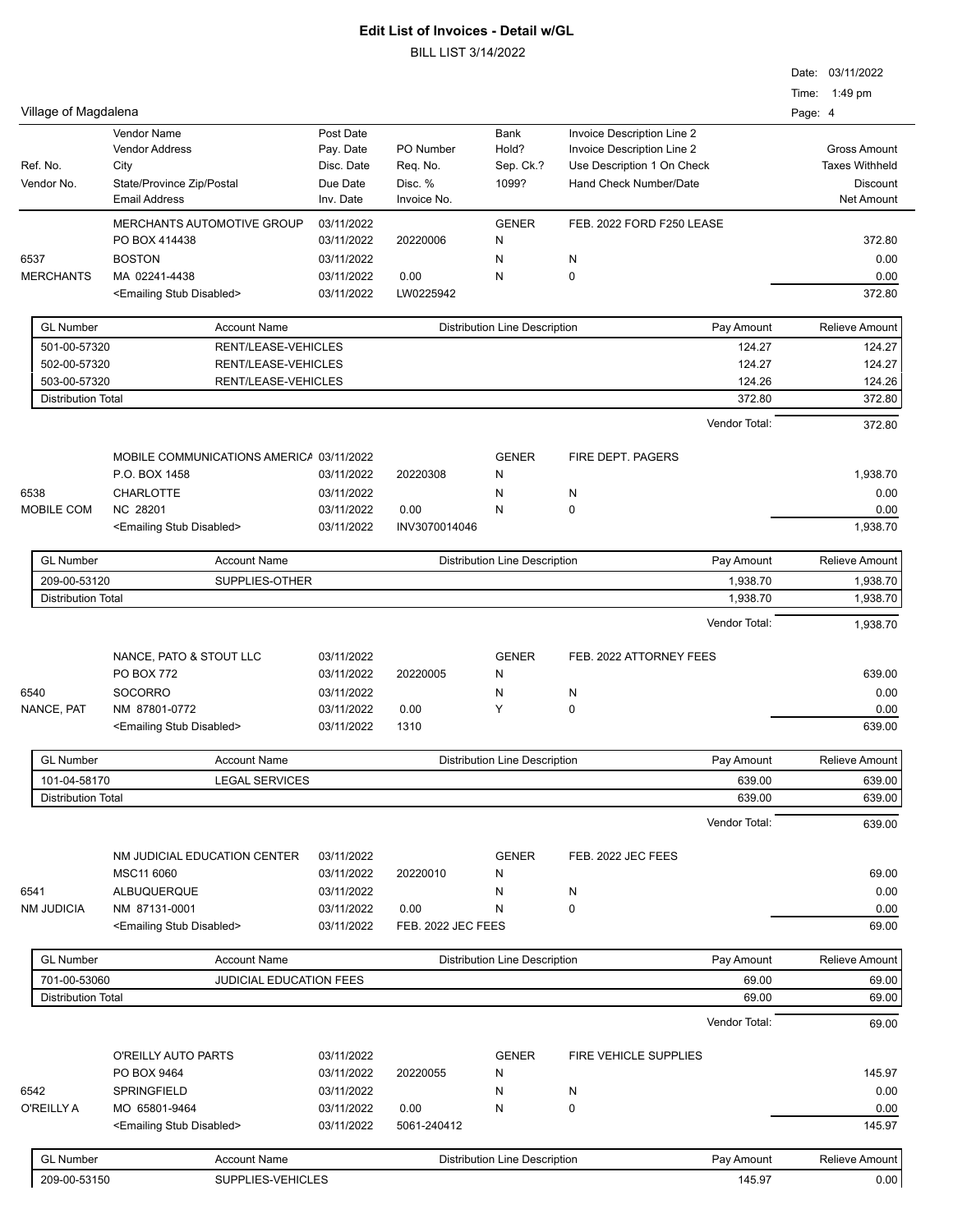|                                           |                                                            |                                      |                        |                                      |                                                                                        | Date: 03/11/2022<br>Time: 1:49 pm     |
|-------------------------------------------|------------------------------------------------------------|--------------------------------------|------------------------|--------------------------------------|----------------------------------------------------------------------------------------|---------------------------------------|
| Village of Magdalena                      |                                                            |                                      |                        |                                      |                                                                                        | Page: 4                               |
| Ref. No.                                  | Vendor Name<br><b>Vendor Address</b><br>City               | Post Date<br>Pay. Date<br>Disc. Date | PO Number<br>Req. No.  | Bank<br>Hold?<br>Sep. Ck.?           | Invoice Description Line 2<br>Invoice Description Line 2<br>Use Description 1 On Check | Gross Amount<br><b>Taxes Withheld</b> |
| Vendor No.                                | State/Province Zip/Postal<br><b>Email Address</b>          | Due Date<br>Inv. Date                | Disc. %<br>Invoice No. | 1099?                                | Hand Check Number/Date                                                                 | Discount<br>Net Amount                |
|                                           | <b>MERCHANTS AUTOMOTIVE GROUP</b><br>PO BOX 414438         | 03/11/2022<br>03/11/2022             | 20220006               | <b>GENER</b><br>N                    | FEB. 2022 FORD F250 LEASE                                                              | 372.80                                |
| 6537                                      | <b>BOSTON</b>                                              | 03/11/2022                           |                        | N                                    | N                                                                                      | 0.00                                  |
| <b>MERCHANTS</b>                          | MA 02241-4438<br><emailing disabled="" stub=""></emailing> | 03/11/2022<br>03/11/2022             | 0.00<br>LW0225942      | N                                    | 0                                                                                      | 0.00<br>372.80                        |
| <b>GL Number</b>                          | <b>Account Name</b>                                        |                                      |                        | <b>Distribution Line Description</b> | Pay Amount                                                                             | <b>Relieve Amount</b>                 |
| 501-00-57320                              | RENT/LEASE-VEHICLES                                        |                                      |                        |                                      | 124.27                                                                                 | 124.27                                |
| 502-00-57320                              | RENT/LEASE-VEHICLES                                        |                                      |                        |                                      | 124.27                                                                                 | 124.27                                |
| 503-00-57320<br><b>Distribution Total</b> | RENT/LEASE-VEHICLES                                        |                                      |                        |                                      | 124.26<br>372.80                                                                       | 124.26<br>372.80                      |
|                                           |                                                            |                                      |                        |                                      | Vendor Total:                                                                          | 372.80                                |
|                                           | MOBILE COMMUNICATIONS AMERICA 03/11/2022                   |                                      |                        | <b>GENER</b>                         | FIRE DEPT. PAGERS                                                                      |                                       |
|                                           | P.O. BOX 1458                                              | 03/11/2022                           | 20220308               | N                                    |                                                                                        | 1,938.70                              |
| 6538                                      | <b>CHARLOTTE</b>                                           | 03/11/2022                           |                        | N                                    | N                                                                                      | 0.00                                  |
| MOBILE COM                                | NC 28201                                                   | 03/11/2022                           | 0.00                   | N                                    | 0                                                                                      | 0.00                                  |
|                                           | <emailing disabled="" stub=""></emailing>                  | 03/11/2022                           | INV3070014046          |                                      |                                                                                        | 1,938.70                              |
| <b>GL Number</b>                          | <b>Account Name</b>                                        |                                      |                        | <b>Distribution Line Description</b> | Pay Amount                                                                             | Relieve Amount                        |
| 209-00-53120<br><b>Distribution Total</b> | SUPPLIES-OTHER                                             |                                      |                        |                                      | 1,938.70                                                                               | 1,938.70                              |
|                                           |                                                            |                                      |                        |                                      | 1,938.70<br>Vendor Total:                                                              | 1,938.70<br>1,938.70                  |
|                                           | NANCE, PATO & STOUT LLC                                    | 03/11/2022                           |                        | <b>GENER</b>                         | FEB. 2022 ATTORNEY FEES                                                                |                                       |
|                                           | <b>PO BOX 772</b>                                          | 03/11/2022                           | 20220005               | N                                    |                                                                                        | 639.00                                |
| 6540                                      | <b>SOCORRO</b>                                             | 03/11/2022                           |                        | N                                    | N                                                                                      | 0.00                                  |
| NANCE, PAT                                | NM 87801-0772                                              | 03/11/2022                           | 0.00                   | Y                                    | 0                                                                                      | 0.00                                  |
|                                           | <emailing disabled="" stub=""></emailing>                  | 03/11/2022                           | 1310                   |                                      |                                                                                        | 639.00                                |
| GL<br>Number                              | Account Name                                               |                                      |                        | Distribution Line Description        | Pay Amount                                                                             | Relieve Amount                        |
| 101-04-58170                              | <b>LEGAL SERVICES</b>                                      |                                      |                        |                                      | 639.00                                                                                 | 639.00                                |
| <b>Distribution Total</b>                 |                                                            |                                      |                        |                                      | 639.00                                                                                 | 639.00                                |
|                                           |                                                            |                                      |                        |                                      | Vendor Total:                                                                          | 639.00                                |
|                                           | NM JUDICIAL EDUCATION CENTER                               | 03/11/2022                           |                        | <b>GENER</b>                         | FEB. 2022 JEC FEES                                                                     |                                       |
|                                           | MSC11 6060                                                 | 03/11/2022                           | 20220010               | N                                    |                                                                                        | 69.00                                 |
| 6541<br><b>NM JUDICIA</b>                 | ALBUQUERQUE<br>NM 87131-0001                               | 03/11/2022<br>03/11/2022             | 0.00                   | N<br>N                               | N<br>0                                                                                 | 0.00<br>0.00                          |
|                                           | <emailing disabled="" stub=""></emailing>                  | 03/11/2022                           | FEB. 2022 JEC FEES     |                                      |                                                                                        | 69.00                                 |
| <b>GL Number</b>                          | <b>Account Name</b>                                        |                                      |                        | <b>Distribution Line Description</b> | Pay Amount                                                                             | Relieve Amount                        |
| 701-00-53060                              | JUDICIAL EDUCATION FEES                                    |                                      |                        |                                      | 69.00                                                                                  | 69.00                                 |
| <b>Distribution Total</b>                 |                                                            |                                      |                        |                                      | 69.00                                                                                  | 69.00                                 |
|                                           |                                                            |                                      |                        |                                      | Vendor Total:                                                                          | 69.00                                 |
|                                           | O'REILLY AUTO PARTS                                        | 03/11/2022                           |                        | <b>GENER</b>                         | FIRE VEHICLE SUPPLIES                                                                  |                                       |
| 6542                                      | PO BOX 9464<br>SPRINGFIELD                                 | 03/11/2022                           | 20220055               | N                                    |                                                                                        | 145.97<br>0.00                        |
| O'REILLY A                                | MO 65801-9464                                              | 03/11/2022<br>03/11/2022             | 0.00                   | N<br>Ν                               | N<br>0                                                                                 | 0.00                                  |
|                                           | <emailing disabled="" stub=""></emailing>                  | 03/11/2022                           | 5061-240412            |                                      |                                                                                        | 145.97                                |
| <b>GL Number</b>                          | <b>Account Name</b>                                        |                                      |                        | <b>Distribution Line Description</b> | Pay Amount                                                                             | Relieve Amount                        |
| 209-00-53150                              | SUPPLIES-VEHICLES                                          |                                      |                        |                                      | 145.97                                                                                 | 0.00                                  |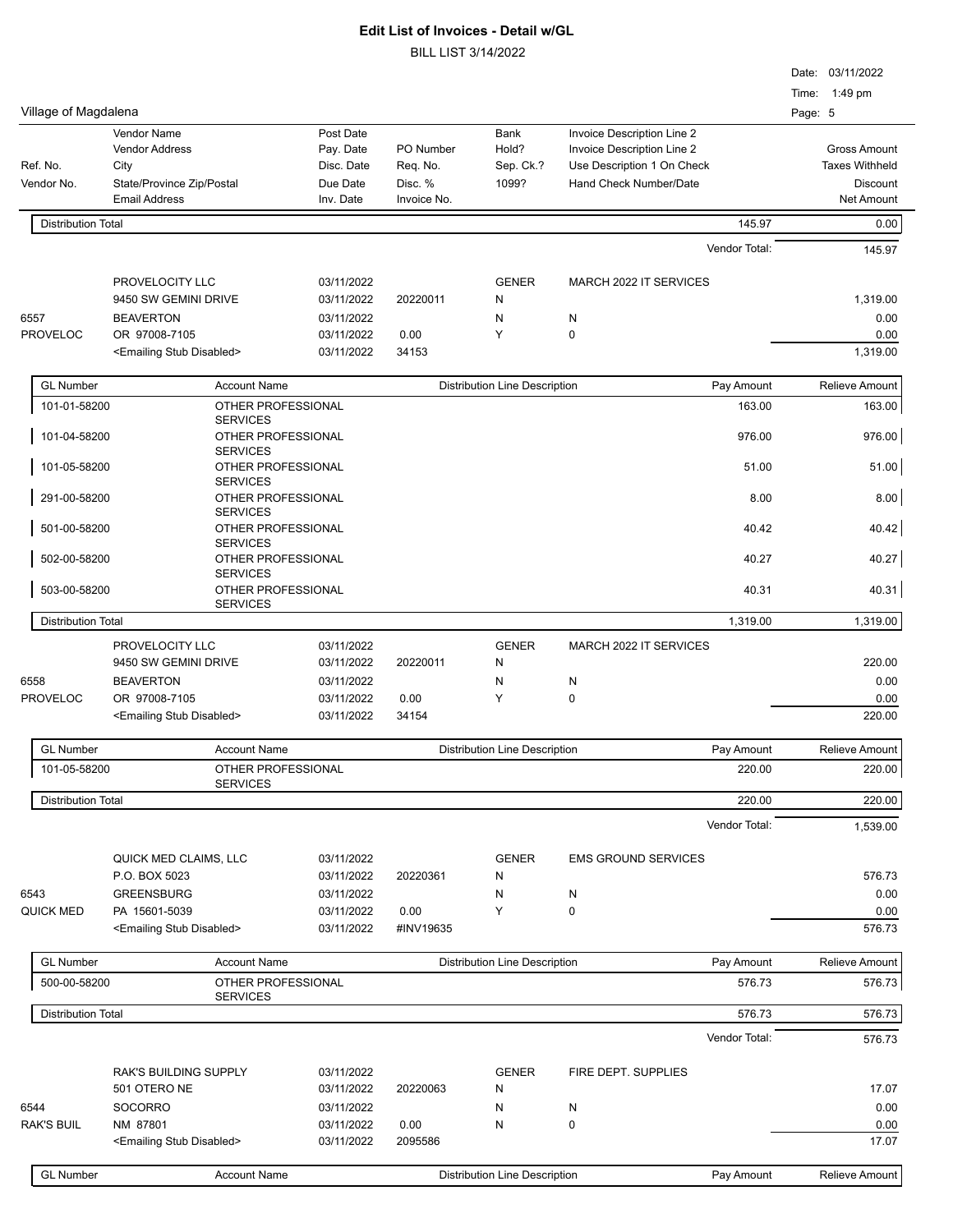|                           |                                                            |                                                          |                          |                        |                                      |                            |               |         | Date: 03/11/2022              |
|---------------------------|------------------------------------------------------------|----------------------------------------------------------|--------------------------|------------------------|--------------------------------------|----------------------------|---------------|---------|-------------------------------|
|                           |                                                            |                                                          |                          |                        |                                      |                            |               | Time:   | 1:49 pm                       |
| Village of Magdalena      |                                                            |                                                          |                          |                        |                                      |                            |               | Page: 5 |                               |
|                           | Vendor Name                                                |                                                          | Post Date                |                        | Bank                                 | Invoice Description Line 2 |               |         |                               |
|                           | <b>Vendor Address</b>                                      |                                                          | Pay. Date                | PO Number              | Hold?                                | Invoice Description Line 2 |               |         | <b>Gross Amount</b>           |
| Ref. No.                  | City                                                       |                                                          | Disc. Date               | Req. No.               | Sep. Ck.?                            | Use Description 1 On Check |               |         | <b>Taxes Withheld</b>         |
| Vendor No.                | State/Province Zip/Postal<br><b>Email Address</b>          |                                                          | Due Date<br>Inv. Date    | Disc. %<br>Invoice No. | 1099?                                | Hand Check Number/Date     |               |         | Discount<br><b>Net Amount</b> |
| <b>Distribution Total</b> |                                                            |                                                          |                          |                        |                                      |                            | 145.97        |         | 0.00                          |
|                           |                                                            |                                                          |                          |                        |                                      |                            | Vendor Total: |         | 145.97                        |
|                           | PROVELOCITY LLC                                            |                                                          | 03/11/2022               |                        | <b>GENER</b>                         | MARCH 2022 IT SERVICES     |               |         |                               |
|                           | 9450 SW GEMINI DRIVE                                       |                                                          | 03/11/2022               | 20220011               | N                                    |                            |               |         | 1,319.00                      |
| 6557                      | <b>BEAVERTON</b>                                           |                                                          | 03/11/2022               |                        | N                                    | N                          |               |         | 0.00                          |
| <b>PROVELOC</b>           | OR 97008-7105                                              |                                                          | 03/11/2022               | 0.00                   | Y                                    | $\mathbf 0$                |               |         | 0.00                          |
|                           | <emailing disabled="" stub=""></emailing>                  |                                                          | 03/11/2022               | 34153                  |                                      |                            |               |         | 1,319.00                      |
| <b>GL Number</b>          |                                                            | <b>Account Name</b>                                      |                          |                        | <b>Distribution Line Description</b> |                            | Pay Amount    |         | Relieve Amount                |
| 101-01-58200              |                                                            | OTHER PROFESSIONAL                                       |                          |                        |                                      |                            | 163.00        |         | 163.00                        |
| 101-04-58200              |                                                            | <b>SERVICES</b><br>OTHER PROFESSIONAL                    |                          |                        |                                      |                            | 976.00        |         | 976.00                        |
| 101-05-58200              |                                                            | <b>SERVICES</b><br>OTHER PROFESSIONAL<br><b>SERVICES</b> |                          |                        |                                      |                            | 51.00         |         | 51.00                         |
| 291-00-58200              |                                                            | OTHER PROFESSIONAL<br><b>SERVICES</b>                    |                          |                        |                                      |                            | 8.00          |         | 8.00                          |
| 501-00-58200              |                                                            | OTHER PROFESSIONAL<br><b>SERVICES</b>                    |                          |                        |                                      |                            | 40.42         |         | 40.42                         |
| 502-00-58200              |                                                            | OTHER PROFESSIONAL<br><b>SERVICES</b>                    |                          |                        |                                      |                            | 40.27         |         | 40.27                         |
| 503-00-58200              |                                                            | OTHER PROFESSIONAL<br><b>SERVICES</b>                    |                          |                        |                                      |                            | 40.31         |         | 40.31                         |
| <b>Distribution Total</b> |                                                            |                                                          |                          |                        |                                      |                            | 1,319.00      |         | 1,319.00                      |
|                           | PROVELOCITY LLC<br>9450 SW GEMINI DRIVE                    |                                                          | 03/11/2022<br>03/11/2022 | 20220011               | <b>GENER</b><br>N                    | MARCH 2022 IT SERVICES     |               |         | 220.00                        |
| 6558                      | <b>BEAVERTON</b>                                           |                                                          | 03/11/2022               |                        | N                                    | N                          |               |         | 0.00                          |
| <b>PROVELOC</b>           | OR 97008-7105<br><emailing disabled="" stub=""></emailing> |                                                          | 03/11/2022<br>03/11/2022 | 0.00<br>34154          | Y                                    | $\mathbf 0$                |               |         | 0.00<br>220.00                |
| <b>GL Number</b>          |                                                            | <b>Account Name</b>                                      |                          |                        | <b>Distribution Line Description</b> |                            | Pay Amount    |         | Relieve Amount                |
| 101-05-58200              |                                                            | OTHER PROFESSIONAL                                       |                          |                        |                                      |                            | 220.00        |         | 220.00                        |
| <b>Distribution Total</b> |                                                            | <b>SERVICES</b>                                          |                          |                        |                                      |                            | 220.00        |         | 220.00                        |
|                           |                                                            |                                                          |                          |                        |                                      |                            | Vendor Total: |         | 1,539.00                      |
|                           | QUICK MED CLAIMS, LLC                                      |                                                          | 03/11/2022               |                        | <b>GENER</b>                         | <b>EMS GROUND SERVICES</b> |               |         |                               |
| 6543                      | P.O. BOX 5023<br><b>GREENSBURG</b>                         |                                                          | 03/11/2022<br>03/11/2022 | 20220361               | N<br>N                               | N                          |               |         | 576.73<br>0.00                |
| <b>QUICK MED</b>          | PA 15601-5039                                              |                                                          | 03/11/2022               | 0.00                   | Υ                                    | 0                          |               |         | 0.00                          |
|                           | <emailing disabled="" stub=""></emailing>                  |                                                          | 03/11/2022               | #INV19635              |                                      |                            |               |         | 576.73                        |
| <b>GL Number</b>          |                                                            | <b>Account Name</b>                                      |                          |                        | <b>Distribution Line Description</b> |                            | Pay Amount    |         | Relieve Amount                |
| 500-00-58200              |                                                            | OTHER PROFESSIONAL<br><b>SERVICES</b>                    |                          |                        |                                      |                            | 576.73        |         | 576.73                        |
| <b>Distribution Total</b> |                                                            |                                                          |                          |                        |                                      |                            | 576.73        |         | 576.73                        |
|                           |                                                            |                                                          |                          |                        |                                      |                            | Vendor Total: |         | 576.73                        |
|                           | RAK'S BUILDING SUPPLY                                      |                                                          | 03/11/2022               |                        | <b>GENER</b>                         | FIRE DEPT. SUPPLIES        |               |         |                               |
|                           | 501 OTERO NE                                               |                                                          | 03/11/2022               | 20220063               | N                                    |                            |               |         | 17.07                         |
| 6544                      | <b>SOCORRO</b>                                             |                                                          | 03/11/2022               |                        | N                                    | N                          |               |         | 0.00                          |
| <b>RAK'S BUIL</b>         | NM 87801<br><emailing disabled="" stub=""></emailing>      |                                                          | 03/11/2022<br>03/11/2022 | 0.00<br>2095586        | N                                    | 0                          |               |         | 0.00<br>17.07                 |
|                           |                                                            |                                                          |                          |                        |                                      |                            |               |         |                               |
| <b>GL Number</b>          |                                                            | <b>Account Name</b>                                      |                          |                        | <b>Distribution Line Description</b> |                            | Pay Amount    |         | Relieve Amount                |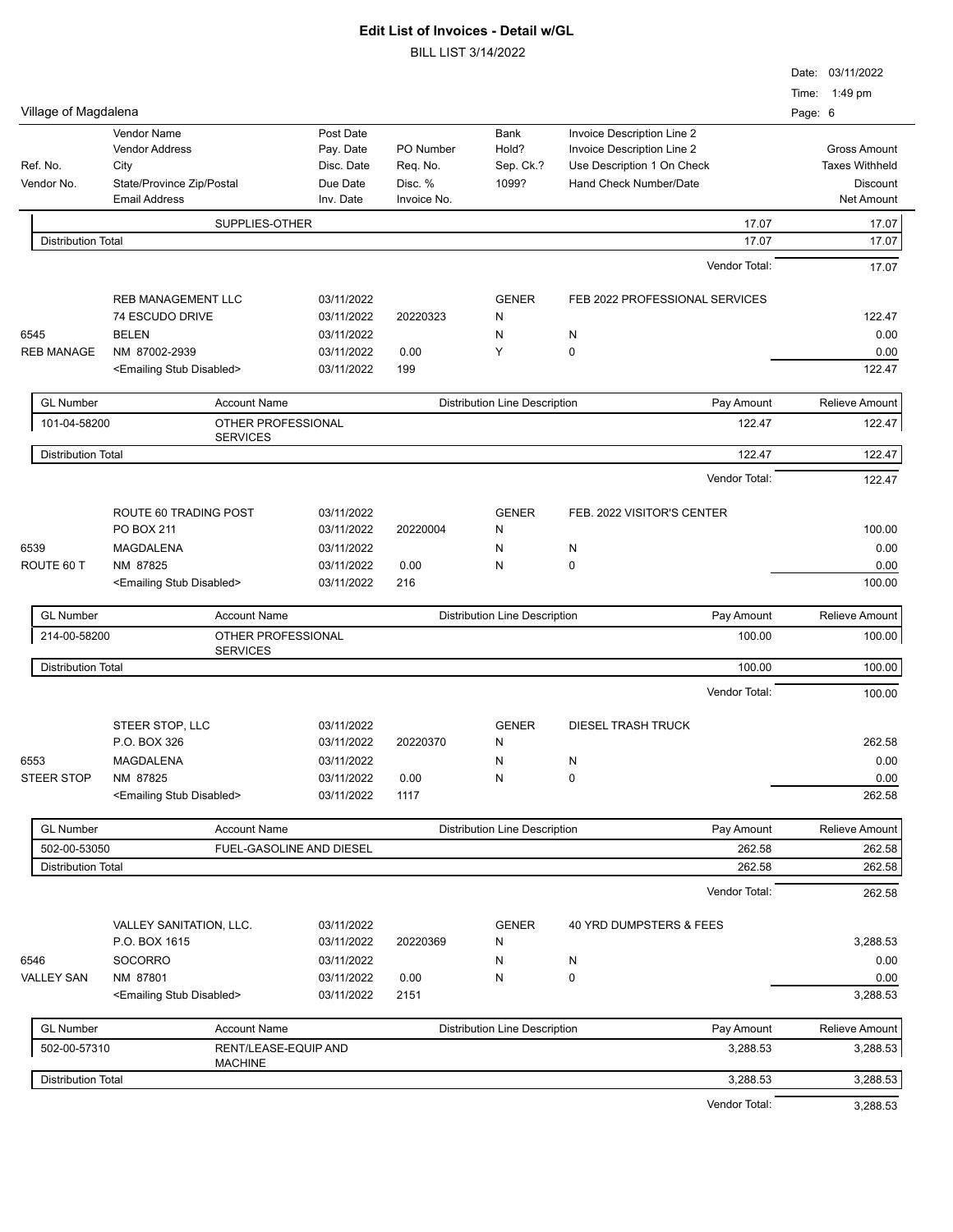|                           |                                           |                          |             |                                      |                                | Date: 03/11/2022         |
|---------------------------|-------------------------------------------|--------------------------|-------------|--------------------------------------|--------------------------------|--------------------------|
| Village of Magdalena      |                                           |                          |             |                                      |                                | Time: 1:49 pm<br>Page: 6 |
|                           | <b>Vendor Name</b>                        | Post Date                |             | Bank                                 | Invoice Description Line 2     |                          |
|                           | <b>Vendor Address</b>                     | Pay. Date                | PO Number   | Hold?                                | Invoice Description Line 2     | <b>Gross Amount</b>      |
| Ref. No.                  | City                                      | Disc. Date               | Req. No.    | Sep. Ck.?                            | Use Description 1 On Check     | <b>Taxes Withheld</b>    |
| Vendor No.                | State/Province Zip/Postal                 | Due Date                 | Disc. %     | 1099?                                | Hand Check Number/Date         | <b>Discount</b>          |
|                           | <b>Email Address</b>                      | Inv. Date                | Invoice No. |                                      |                                | <b>Net Amount</b>        |
|                           | SUPPLIES-OTHER                            |                          |             |                                      | 17.07                          | 17.07                    |
| <b>Distribution Total</b> |                                           |                          |             |                                      | 17.07                          | 17.07                    |
|                           |                                           |                          |             |                                      | Vendor Total:                  | 17.07                    |
|                           | <b>REB MANAGEMENT LLC</b>                 | 03/11/2022               |             | <b>GENER</b>                         | FEB 2022 PROFESSIONAL SERVICES |                          |
|                           | 74 ESCUDO DRIVE                           | 03/11/2022               | 20220323    | N                                    |                                | 122.47                   |
| 6545                      | <b>BELEN</b>                              | 03/11/2022               |             | N                                    | N                              | 0.00                     |
| <b>REB MANAGE</b>         | NM 87002-2939                             | 03/11/2022               | 0.00        | Y                                    | 0                              | 0.00                     |
|                           | <emailing disabled="" stub=""></emailing> | 03/11/2022               | 199         |                                      |                                | 122.47                   |
| <b>GL Number</b>          | <b>Account Name</b>                       |                          |             | <b>Distribution Line Description</b> | Pay Amount                     | Relieve Amount           |
| 101-04-58200              | OTHER PROFESSIONAL                        |                          |             |                                      | 122.47                         | 122.47                   |
| <b>Distribution Total</b> | <b>SERVICES</b>                           |                          |             |                                      | 122.47                         | 122.47                   |
|                           |                                           |                          |             |                                      | Vendor Total:                  |                          |
|                           |                                           |                          |             |                                      |                                | 122.47                   |
|                           | ROUTE 60 TRADING POST                     | 03/11/2022               |             | <b>GENER</b>                         | FEB. 2022 VISITOR'S CENTER     |                          |
|                           | PO BOX 211                                | 03/11/2022               | 20220004    | N                                    |                                | 100.00                   |
| 6539                      | MAGDALENA                                 | 03/11/2022               |             | N                                    | N                              | 0.00                     |
| ROUTE 60 T                | NM 87825                                  | 03/11/2022               | 0.00        | N                                    | 0                              | 0.00                     |
|                           | <emailing disabled="" stub=""></emailing> | 03/11/2022               | 216         |                                      |                                | 100.00                   |
| <b>GL Number</b>          | <b>Account Name</b>                       |                          |             | <b>Distribution Line Description</b> | Pay Amount                     | <b>Relieve Amount</b>    |
| 214-00-58200              | OTHER PROFESSIONAL<br><b>SERVICES</b>     |                          |             |                                      | 100.00                         | 100.00                   |
| <b>Distribution Total</b> |                                           |                          |             |                                      | 100.00                         | 100.00                   |
|                           |                                           |                          |             |                                      | Vendor Total:                  | 100.00                   |
|                           | STEER STOP, LLC                           | 03/11/2022               |             | <b>GENER</b>                         | <b>DIESEL TRASH TRUCK</b>      |                          |
|                           | P.O. BOX 326                              | 03/11/2022               | 20220370    | N                                    |                                | 262.58                   |
|                           | MAGDALENA                                 | 03/11/2022               |             | N                                    | N                              | 0.00                     |
| 6553<br><b>STEER STOP</b> | NM 87825                                  | 03/11/2022               | 0.00        | N                                    | $\pmb{0}$                      | 0.00                     |
|                           | <emailing disabled="" stub=""></emailing> | 03/11/2022               | 1117        |                                      |                                | 262.58                   |
| <b>GL Number</b>          | <b>Account Name</b>                       |                          |             | <b>Distribution Line Description</b> | Pay Amount                     | <b>Relieve Amount</b>    |
| 502-00-53050              |                                           | FUEL-GASOLINE AND DIESEL |             |                                      | 262.58                         | 262.58                   |
| <b>Distribution Total</b> |                                           |                          |             |                                      | 262.58                         | 262.58                   |
|                           |                                           |                          |             |                                      | Vendor Total:                  | 262.58                   |
|                           |                                           |                          |             |                                      |                                |                          |
|                           | VALLEY SANITATION, LLC.                   | 03/11/2022               |             | <b>GENER</b>                         | 40 YRD DUMPSTERS & FEES        |                          |
|                           | P.O. BOX 1615                             | 03/11/2022               | 20220369    | N                                    |                                | 3,288.53                 |
| 6546                      | <b>SOCORRO</b>                            | 03/11/2022               |             | N                                    | N                              | 0.00                     |
| <b>VALLEY SAN</b>         | NM 87801                                  | 03/11/2022               | 0.00        | N                                    | $\pmb{0}$                      | 0.00                     |
|                           | <emailing disabled="" stub=""></emailing> | 03/11/2022               | 2151        |                                      |                                | 3,288.53                 |
| <b>GL Number</b>          | <b>Account Name</b>                       |                          |             | <b>Distribution Line Description</b> | Pay Amount                     | Relieve Amount           |
| 502-00-57310              | RENT/LEASE-EQUIP AND<br><b>MACHINE</b>    |                          |             |                                      | 3,288.53                       | 3,288.53                 |
| <b>Distribution Total</b> |                                           |                          |             |                                      | 3,288.53                       | 3,288.53                 |
|                           |                                           |                          |             |                                      | Vendor Total:                  | 3,288.53                 |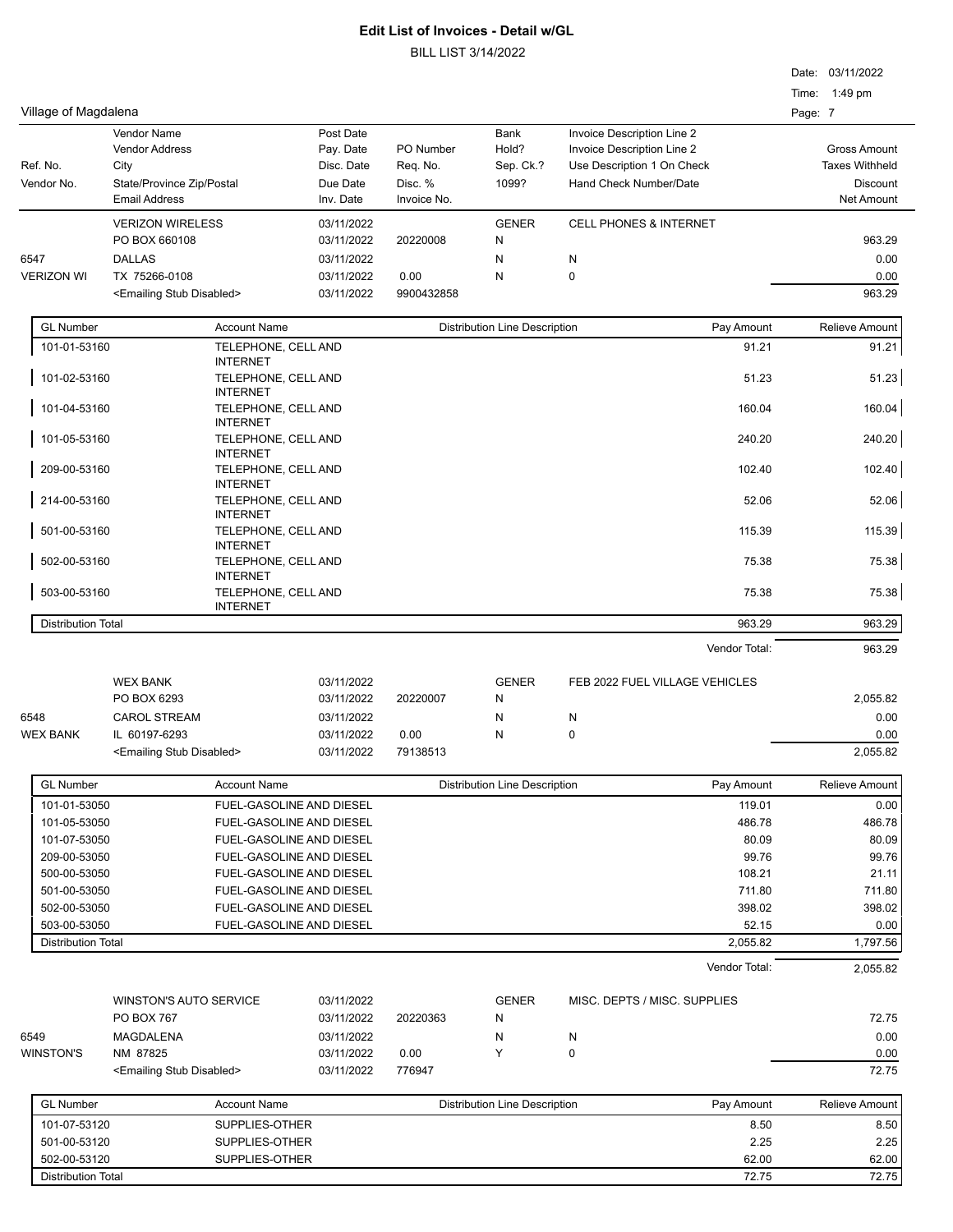|                           |                                           |                                        |            | <b>BILL LIST 3/14/2022</b> |                                      |                                                          |         |                       |
|---------------------------|-------------------------------------------|----------------------------------------|------------|----------------------------|--------------------------------------|----------------------------------------------------------|---------|-----------------------|
|                           |                                           |                                        |            |                            |                                      |                                                          |         | Date: 03/11/2022      |
|                           |                                           |                                        |            |                            |                                      |                                                          |         | Time: 1:49 pm         |
| Village of Magdalena      |                                           |                                        |            |                            |                                      |                                                          | Page: 7 |                       |
|                           | Vendor Name                               |                                        | Post Date  |                            |                                      |                                                          |         |                       |
|                           | <b>Vendor Address</b>                     |                                        | Pay. Date  | PO Number                  | Bank<br>Hold?                        | Invoice Description Line 2<br>Invoice Description Line 2 |         | <b>Gross Amount</b>   |
| Ref. No.                  | City                                      |                                        | Disc. Date | Req. No.                   | Sep. Ck.?                            | Use Description 1 On Check                               |         | <b>Taxes Withheld</b> |
| Vendor No.                | State/Province Zip/Postal                 |                                        | Due Date   | Disc. %                    | 1099?                                | Hand Check Number/Date                                   |         | <b>Discount</b>       |
|                           | <b>Email Address</b>                      |                                        | Inv. Date  | Invoice No.                |                                      |                                                          |         | Net Amount            |
|                           | <b>VERIZON WIRELESS</b>                   |                                        | 03/11/2022 |                            | <b>GENER</b>                         | <b>CELL PHONES &amp; INTERNET</b>                        |         |                       |
|                           | PO BOX 660108                             |                                        | 03/11/2022 | 20220008                   | N                                    |                                                          |         | 963.29                |
| 6547                      | <b>DALLAS</b>                             |                                        | 03/11/2022 |                            | N                                    | N                                                        |         | 0.00                  |
| <b>VERIZON WI</b>         | TX 75266-0108                             |                                        | 03/11/2022 | 0.00                       | N                                    | $\mathbf 0$                                              |         | 0.00                  |
|                           | <emailing disabled="" stub=""></emailing> |                                        | 03/11/2022 | 9900432858                 |                                      |                                                          |         | 963.29                |
|                           |                                           |                                        |            |                            |                                      |                                                          |         |                       |
| <b>GL Number</b>          |                                           | <b>Account Name</b>                    |            |                            | <b>Distribution Line Description</b> | Pay Amount                                               |         | Relieve Amount        |
| 101-01-53160              |                                           | TELEPHONE, CELL AND                    |            |                            |                                      | 91.21                                                    |         | 91.21                 |
|                           |                                           | <b>INTERNET</b>                        |            |                            |                                      |                                                          |         |                       |
| 101-02-53160              |                                           | TELEPHONE, CELL AND<br><b>INTERNET</b> |            |                            |                                      | 51.23                                                    |         | 51.23                 |
| 101-04-53160              |                                           | TELEPHONE, CELL AND                    |            |                            |                                      | 160.04                                                   |         | 160.04                |
|                           |                                           | <b>INTERNET</b>                        |            |                            |                                      |                                                          |         |                       |
| 101-05-53160              |                                           | TELEPHONE, CELL AND                    |            |                            |                                      | 240.20                                                   |         | 240.20                |
| 209-00-53160              |                                           | <b>INTERNET</b>                        |            |                            |                                      | 102.40                                                   |         | 102.40                |
|                           |                                           | TELEPHONE, CELL AND<br><b>INTERNET</b> |            |                            |                                      |                                                          |         |                       |
| 214-00-53160              |                                           | TELEPHONE, CELL AND                    |            |                            |                                      | 52.06                                                    |         | 52.06                 |
|                           |                                           | <b>INTERNET</b>                        |            |                            |                                      |                                                          |         |                       |
| 501-00-53160              |                                           | TELEPHONE, CELL AND                    |            |                            |                                      | 115.39                                                   |         | 115.39                |
| 502-00-53160              |                                           | <b>INTERNET</b><br>TELEPHONE, CELL AND |            |                            |                                      | 75.38                                                    |         | 75.38                 |
|                           |                                           | <b>INTERNET</b>                        |            |                            |                                      |                                                          |         |                       |
| 503-00-53160              |                                           | TELEPHONE, CELL AND                    |            |                            |                                      | 75.38                                                    |         | 75.38                 |
|                           |                                           | <b>INTERNET</b>                        |            |                            |                                      |                                                          |         |                       |
| <b>Distribution Total</b> |                                           |                                        |            |                            |                                      | 963.29                                                   |         | 963.29                |
|                           |                                           |                                        |            |                            |                                      | Vendor Total:                                            |         | 963.29                |
|                           |                                           |                                        |            |                            |                                      |                                                          |         |                       |
|                           | <b>WEX BANK</b>                           |                                        | 03/11/2022 |                            | <b>GENER</b>                         | FEB 2022 FUEL VILLAGE VEHICLES                           |         |                       |
|                           | PO BOX 6293                               |                                        | 03/11/2022 | 20220007                   | N                                    |                                                          |         | 2,055.82              |
| 6548                      | <b>CAROL STREAM</b>                       |                                        | 03/11/2022 |                            | N                                    | N                                                        |         | 0.00                  |
| <b>WEX BANK</b>           | IL 60197-6293                             |                                        | 03/11/2022 | 0.00                       | N                                    | 0                                                        |         | 0.00                  |
|                           | <emailing disabled="" stub=""></emailing> |                                        | 03/11/2022 | 79138513                   |                                      |                                                          |         | 2,055.82              |
| <b>GL Number</b>          |                                           | <b>Account Name</b>                    |            |                            | <b>Distribution Line Description</b> | Pay Amount                                               |         | <b>Relieve Amount</b> |
| 101-01-53050              |                                           | FUEL-GASOLINE AND DIESEL               |            |                            |                                      | 119.01                                                   |         | 0.00                  |
| 101-05-53050              |                                           | FUEL-GASOLINE AND DIESEL               |            |                            |                                      | 486.78                                                   |         | 486.78                |
| 101-07-53050              |                                           | FUEL-GASOLINE AND DIESEL               |            |                            |                                      | 80.09                                                    |         | 80.09                 |
| 209-00-53050              |                                           | FUEL-GASOLINE AND DIESEL               |            |                            |                                      | 99.76                                                    |         | 99.76                 |
| 500-00-53050              |                                           | FUEL-GASOLINE AND DIESEL               |            |                            |                                      | 108.21                                                   |         | 21.11                 |
| 501-00-53050              |                                           | FUEL-GASOLINE AND DIESEL               |            |                            |                                      | 711.80                                                   |         | 711.80                |
| 502-00-53050              |                                           | FUEL-GASOLINE AND DIESEL               |            |                            |                                      | 398.02                                                   |         | 398.02                |
|                           |                                           |                                        |            |                            |                                      |                                                          |         |                       |
| 503-00-53050              |                                           | FUEL-GASOLINE AND DIESEL               |            |                            |                                      | 52.15                                                    |         | 0.00                  |
| <b>Distribution Total</b> |                                           |                                        |            |                            |                                      | 2,055.82                                                 |         | 1,797.56              |
|                           |                                           |                                        |            |                            |                                      | Vendor Total:                                            |         | 2,055.82              |
|                           |                                           |                                        |            |                            |                                      |                                                          |         |                       |
|                           | <b>WINSTON'S AUTO SERVICE</b>             |                                        | 03/11/2022 |                            | <b>GENER</b>                         | MISC. DEPTS / MISC. SUPPLIES                             |         |                       |

|           | WINSTON'S AUTO SERVICE                    | 03/11/2022 |          | GENER | MISC. DEPTS / MISC. SUPPLIES |       |
|-----------|-------------------------------------------|------------|----------|-------|------------------------------|-------|
|           | <b>PO BOX 767</b>                         | 03/11/2022 | 20220363 |       |                              | 72.75 |
| 6549      | MAGDALENA                                 | 03/11/2022 |          |       |                              | 0.00  |
| WINSTON'S | NM 87825                                  | 03/11/2022 | 0.00     |       |                              | 0.00  |
|           | <emailing disabled="" stub=""></emailing> | 03/11/2022 | 776947   |       |                              | 72.75 |

| <b>GL Number</b>          | Account Name   | Distribution Line Description | Pay Amount | Relieve Amount |
|---------------------------|----------------|-------------------------------|------------|----------------|
| 101-07-53120              | SUPPLIES-OTHER |                               | 8.50       | 8.50           |
| 501-00-53120              | SUPPLIES-OTHER |                               | 2.25       | 2.25           |
| 502-00-53120              | SUPPLIES-OTHER |                               | 62.00      | 62.00          |
| <b>Distribution Total</b> |                |                               | 72.75      | 72.75          |